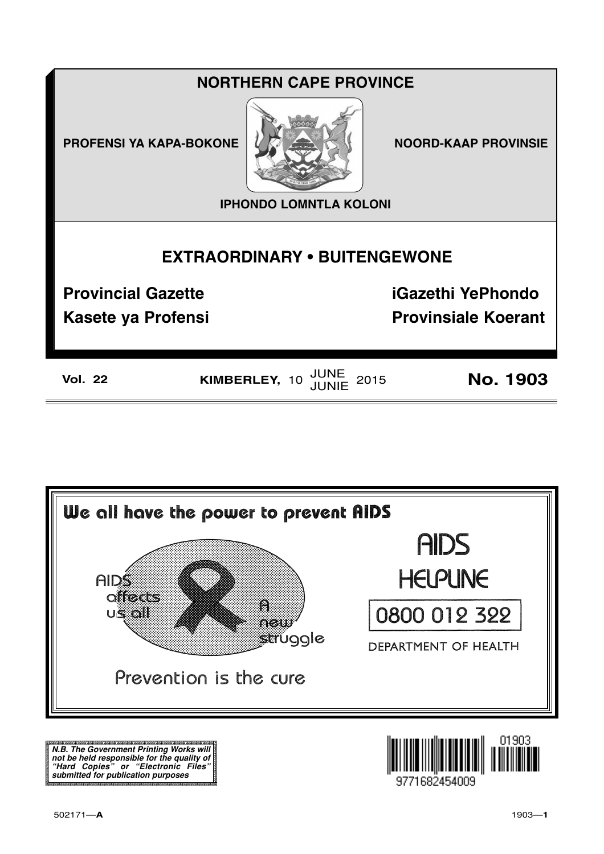## **NORTHERN CAPE PROVINCE**

**PROFENSI YA KAPA-BOKONE** 



**NOORD-KAAP PROVINSIE** 

**IPHONDO LOMNTLA KOLONI** 

## **EXTRAORDINARY . BUITENGEWONE**

**Provincial Gazette** 

**Kasete ya Profensi** 

**iGazethi YePhondo Provinsiale Koerant** 

**Vol. 22** 

KIMBERLEY, 10 JUNE 2015

**No. 1903** 



N.B. The Government Printing Works will iv.b. The Government Printing works will<br>not be held responsible for the quality of<br>"Hard" Copies" or "Electronic Files"<br>submitted for publication purposes

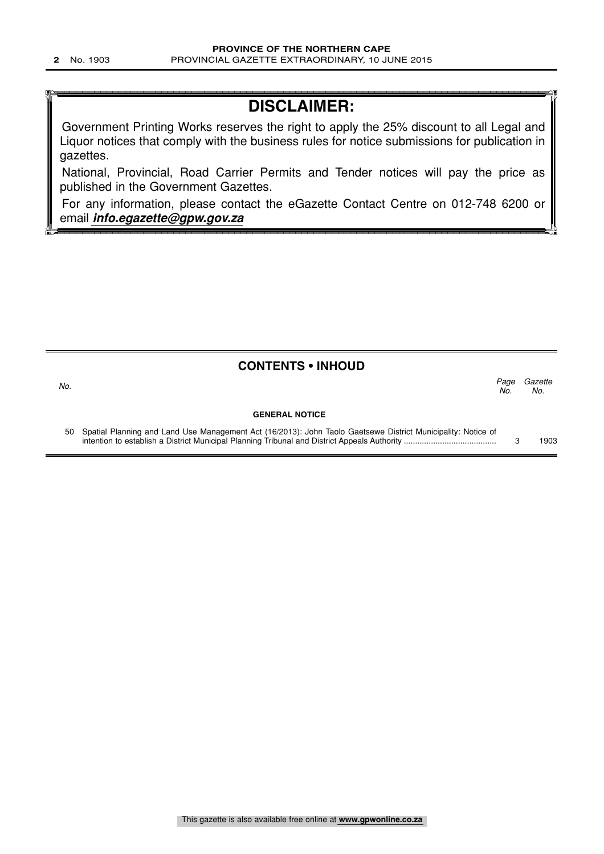# **DISCLAIMER:**

Government Printing Works reserves the right to apply the 25% discount to all Legal and Liquor notices that comply with the business rules for notice submissions for publication in gazettes.

National, Provincial, Road Carrier Permits and Tender notices will pay the price as published in the Government Gazettes.

For any information, please contact the eGazette Contact Centre on 012-748 6200 or email **info.egazette@gpw.gov.za**

## **CONTENTS • INHOUD**

| No.                   | No. | Page Gazette<br>No. |
|-----------------------|-----|---------------------|
| <b>GENERAL NOTICE</b> |     |                     |

50 Spatial Planning and Land Use Management Act (16/2013): John Taolo Gaetsewe District Municipality: Notice of intention to establish a District Municipal Planning Tribunal and District Appeals Authority ......................................... 3 1903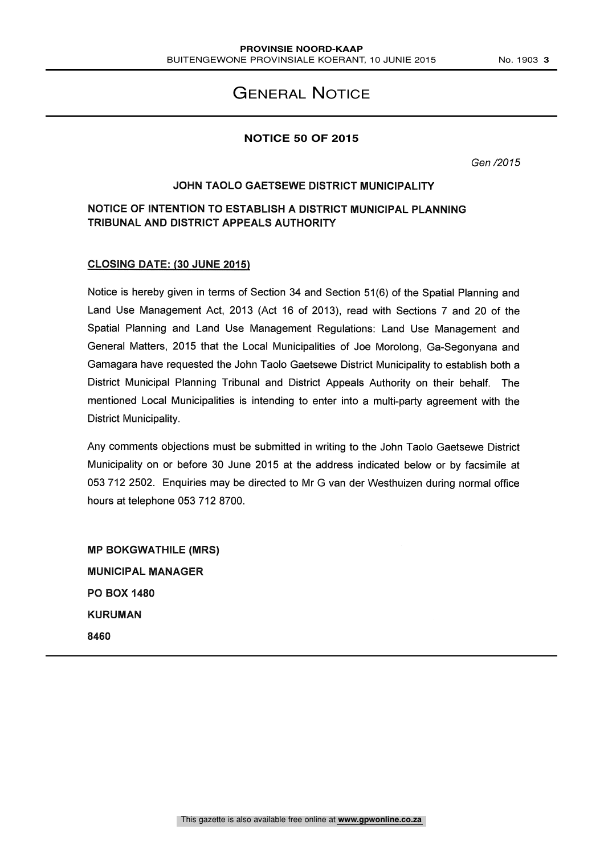## GENERAL NOTICE

#### **NOTICE 50 OF 2015**

Gen /2015

#### JOHN TAOLO GAETSEWE DISTRICT MUNICIPALITY

### NOTICE OF INTENTION TO ESTABLISH A DISTRICT MUNICIPAL PLANNING TRIBUNAL AND DISTRICT APPEALS AUTHORITY

#### CLOSING DATE: (30 JUNE 2015)

Notice is hereby given in terms of Section 34 and Section 51(6) of the Spatial Planning and Land Use Management Act, 2013 (Act 16 of 2013), read with Sections 7 and 20 of the Spatial Planning and Land Use Management Regulations: Land Use Management and General Matters, 2015 that the Local Municipalities of Joe Morolong, Ga- Segonyana and Gamagara have requested the John Taolo Gaetsewe District Municipality to establish both a District Municipal Planning Tribunal and District Appeals Authority on their behalf. The mentioned Local Municipalities is intending to enter into a multi-party agreement with the District Municipality.

Any comments objections must be submitted in writing to the John Taolo Gaetsewe District Municipality on or before 30 June 2015 at the address indicated below or by facsimile at 053 712 2502. Enquiries may be directed to Mr G van der Westhuizen during normal office hours at telephone 053 712 8700.

MP BOKGWATHILE (MRS) MUNICIPAL MANAGER PO BOX 1480 KURUMAN 8460